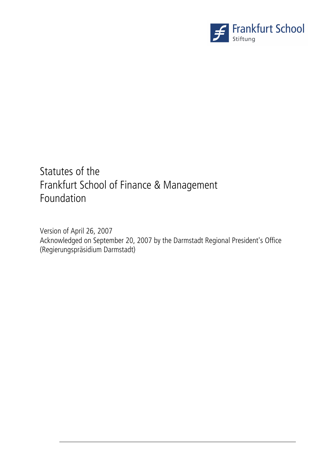

# Statutes of the Frankfurt School of Finance & Management Foundation

Version of April 26, 2007 Acknowledged on September 20, 2007 by the Darmstadt Regional President's Office (Regierungspräsidium Darmstadt)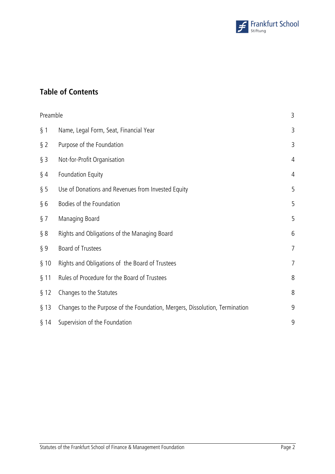

# **Table of Contents**

| Preamble |                                                                             | 3              |
|----------|-----------------------------------------------------------------------------|----------------|
| $§$ 1    | Name, Legal Form, Seat, Financial Year                                      | 3              |
| $\S$ 2   | Purpose of the Foundation                                                   | 3              |
| $§$ 3    | Not-for-Profit Organisation                                                 | 4              |
| $\S$ 4   | <b>Foundation Equity</b>                                                    | $\overline{4}$ |
| § 5      | Use of Donations and Revenues from Invested Equity                          | 5              |
| § 6      | Bodies of the Foundation                                                    | 5              |
| $\S$ 7   | Managing Board                                                              | 5              |
| § 8      | Rights and Obligations of the Managing Board                                | 6              |
| $\S9$    | Board of Trustees                                                           | $\overline{7}$ |
| § 10     | Rights and Obligations of the Board of Trustees                             | 7              |
| $§$ 11   | Rules of Procedure for the Board of Trustees                                | 8              |
| § 12     | Changes to the Statutes                                                     | 8              |
| $§$ 13   | Changes to the Purpose of the Foundation, Mergers, Dissolution, Termination | 9              |
| $§$ 14   | Supervision of the Foundation                                               | 9              |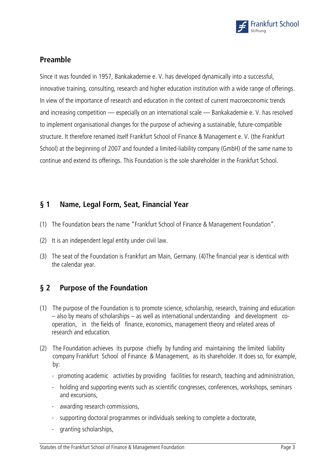

# **Preamble**

Since it was founded in 1957, Bankakademie e. V. has developed dynamically into a successful, innovative training, consulting, research and higher education institution with a wide range of offerings. In view of the importance of research and education in the context of current macroeconomic trends and increasing competition — especially on an international scale — Bankakademie e. V. has resolved to implement organisational changes for the purpose of achieving a sustainable, future-compatible structure. It therefore renamed itself Frankfurt School of Finance & Management e. V. (the Frankfurt School) at the beginning of 2007 and founded a limited-liability company (GmbH) of the same name to continue and extend its offerings. This Foundation is the sole shareholder in the Frankfurt School.

# **§ 1 Name, Legal Form, Seat, Financial Year**

- (1) The Foundation bears the name "Frankfurt School of Finance & Management Foundation".
- (2) It is an independent legal entity under civil law.
- (3) The seat of the Foundation is Frankfurt am Main, Germany. (4) The financial year is identical with the calendar year.

# **§ 2 Purpose of the Foundation**

- (1) The purpose of the Foundation is to promote science, scholarship, research, training and education – also by means of scholarships – as well as international understanding and development cooperation, in the fields of finance, economics, management theory and related areas of research and education.
- (2) The Foundation achieves its purpose chiefly by funding and maintaining the limited liability company Frankfurt School of Finance & Management, as its shareholder. It does so, for example, by:
	- promoting academic activities by providing facilities for research, teaching and administration,
	- holding and supporting events such as scientific congresses, conferences, workshops, seminars and excursions,
	- awarding research commissions,
	- supporting doctoral programmes or individuals seeking to complete a doctorate,
	- granting scholarships,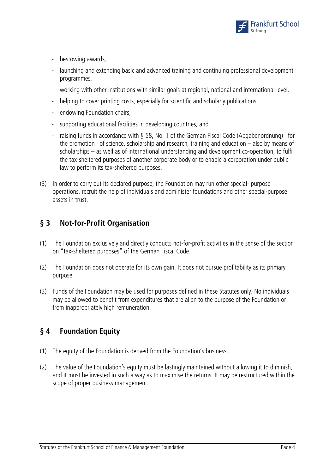

- bestowing awards,
- launching and extending basic and advanced training and continuing professional development programmes,
- working with other institutions with similar goals at regional, national and international level,
- helping to cover printing costs, especially for scientific and scholarly publications,
- endowing Foundation chairs,
- supporting educational facilities in developing countries, and
- raising funds in accordance with § 58, No. 1 of the German Fiscal Code (Abgabenordnung) for the promotion of science, scholarship and research, training and education – also by means of scholarships – as well as of international understanding and development co-operation, to fulfil the tax-sheltered purposes of another corporate body or to enable a corporation under public law to perform its tax-sheltered purposes.
- (3) In order to carry out its declared purpose, the Foundation may run other special- purpose operations, recruit the help of individuals and administer foundations and other special-purpose assets in trust.

# **§ 3 Not-for-Profit Organisation**

- (1) The Foundation exclusively and directly conducts not-for-profit activities in the sense of the section on "tax-sheltered purposes" of the German Fiscal Code.
- (2) The Foundation does not operate for its own gain. It does not pursue profitability as its primary purpose.
- (3) Funds of the Foundation may be used for purposes defined in these Statutes only. No individuals may be allowed to benefit from expenditures that are alien to the purpose of the Foundation or from inappropriately high remuneration.

# **§ 4 Foundation Equity**

- (1) The equity of the Foundation is derived from the Foundation's business.
- (2) The value of the Foundation's equity must be lastingly maintained without allowing it to diminish, and it must be invested in such a way as to maximise the returns. It may be restructured within the scope of proper business management.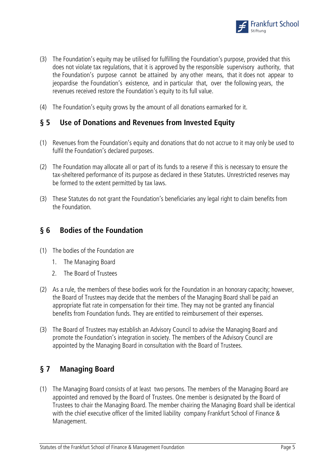

- (3) The Foundation's equity may be utilised for fulfilling the Foundation's purpose, provided that this does not violate tax regulations, that it is approved by the responsible supervisory authority, that the Foundation's purpose cannot be attained by any other means, that it does not appear to jeopardise the Foundation's existence, and in particular that, over the following years, the revenues received restore the Foundation's equity to its full value.
- (4) The Foundation's equity grows by the amount of all donations earmarked for it.

#### **§ 5 Use of Donations and Revenues from Invested Equity**

- (1) Revenues from the Foundation's equity and donations that do not accrue to it may only be used to fulfil the Foundation's declared purposes.
- (2) The Foundation may allocate all or part of its funds to a reserve if this is necessary to ensure the tax-sheltered performance of its purpose as declared in these Statutes. Unrestricted reserves may be formed to the extent permitted by tax laws.
- (3) These Statutes do not grant the Foundation's beneficiaries any legal right to claim benefits from the Foundation.

#### **§ 6 Bodies of the Foundation**

- (1) The bodies of the Foundation are
	- 1. The Managing Board
	- 2. The Board of Trustees
- (2) As a rule, the members of these bodies work for the Foundation in an honorary capacity; however, the Board of Trustees may decide that the members of the Managing Board shall be paid an appropriate flat rate in compensation for their time. They may not be granted any financial benefits from Foundation funds. They are entitled to reimbursement of their expenses.
- (3) The Board of Trustees may establish an Advisory Council to advise the Managing Board and promote the Foundation's integration in society. The members of the Advisory Council are appointed by the Managing Board in consultation with the Board of Trustees.

#### **§ 7 Managing Board**

(1) The Managing Board consists of at least two persons. The members of the Managing Board are appointed and removed by the Board of Trustees. One member is designated by the Board of Trustees to chair the Managing Board. The member chairing the Managing Board shall be identical with the chief executive officer of the limited liability company Frankfurt School of Finance & Management.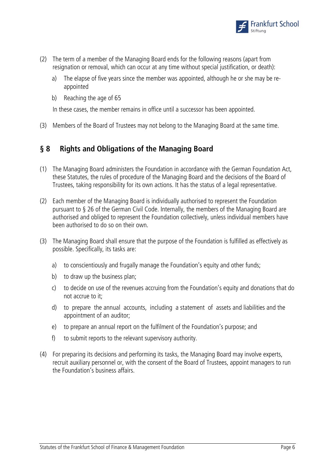

- (2) The term of a member of the Managing Board ends for the following reasons (apart from resignation or removal, which can occur at any time without special justification, or death):
	- a) The elapse of five years since the member was appointed, although he or she may be reappointed
	- b) Reaching the age of 65

In these cases, the member remains in office until a successor has been appointed.

(3) Members of the Board of Trustees may not belong to the Managing Board at the same time.

# **§ 8 Rights and Obligations of the Managing Board**

- (1) The Managing Board administers the Foundation in accordance with the German Foundation Act, these Statutes, the rules of procedure of the Managing Board and the decisions of the Board of Trustees, taking responsibility for its own actions. It has the status of a legal representative.
- (2) Each member of the Managing Board is individually authorised to represent the Foundation pursuant to § 26 of the German Civil Code. Internally, the members of the Managing Board are authorised and obliged to represent the Foundation collectively, unless individual members have been authorised to do so on their own.
- (3) The Managing Board shall ensure that the purpose of the Foundation is fulfilled as effectively as possible. Specifically, its tasks are:
	- a) to conscientiously and frugally manage the Foundation's equity and other funds;
	- b) to draw up the business plan;
	- c) to decide on use of the revenues accruing from the Foundation's equity and donations that do not accrue to it;
	- d) to prepare the annual accounts, including a statement of assets and liabilities and the appointment of an auditor;
	- e) to prepare an annual report on the fulfilment of the Foundation's purpose; and
	- f) to submit reports to the relevant supervisory authority.
- (4) For preparing its decisions and performing its tasks, the Managing Board may involve experts, recruit auxiliary personnel or, with the consent of the Board of Trustees, appoint managers to run the Foundation's business affairs.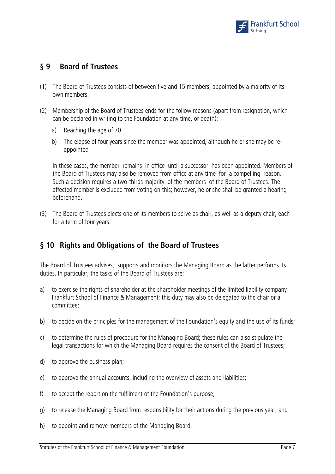

# **§ 9 Board of Trustees**

- (1) The Board of Trustees consists of between five and 15 members, appointed by a majority of its own members.
- (2) Membership of the Board of Trustees ends for the follow reasons (apart from resignation, which can be declared in writing to the Foundation at any time, or death):
	- a) Reaching the age of 70
	- b) The elapse of four years since the member was appointed, although he or she may be reappointed

 In these cases, the member remains in office until a successor has been appointed. Members of the Board of Trustees may also be removed from office at any time for a compelling reason. Such a decision requires a two-thirds majority of the members of the Board of Trustees. The affected member is excluded from voting on this; however, he or she shall be granted a hearing beforehand.

(3) The Board of Trustees elects one of its members to serve as chair, as well as a deputy chair, each for a term of four years.

# **§ 10 Rights and Obligations of the Board of Trustees**

The Board of Trustees advises, supports and monitors the Managing Board as the latter performs its duties. In particular, the tasks of the Board of Trustees are:

- a) to exercise the rights of shareholder at the shareholder meetings of the limited liability company Frankfurt School of Finance & Management; this duty may also be delegated to the chair or a committee;
- b) to decide on the principles for the management of the Foundation's equity and the use of its funds;
- c) to determine the rules of procedure for the Managing Board; these rules can also stipulate the legal transactions for which the Managing Board requires the consent of the Board of Trustees;
- d) to approve the business plan;
- e) to approve the annual accounts, including the overview of assets and liabilities;
- f) to accept the report on the fulfilment of the Foundation's purpose;
- g) to release the Managing Board from responsibility for their actions during the previous year; and
- h) to appoint and remove members of the Managing Board.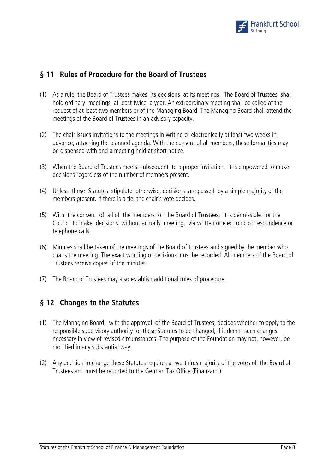

### **§ 11 Rules of Procedure for the Board of Trustees**

- (1) As a rule, the Board of Trustees makes its decisions at its meetings. The Board of Trustees shall hold ordinary meetings at least twice a year. An extraordinary meeting shall be called at the request of at least two members or of the Managing Board. The Managing Board shall attend the meetings of the Board of Trustees in an advisory capacity.
- (2) The chair issues invitations to the meetings in writing or electronically at least two weeks in advance, attaching the planned agenda. With the consent of all members, these formalities may be dispensed with and a meeting held at short notice.
- (3) When the Board of Trustees meets subsequent to a proper invitation, it is empowered to make decisions regardless of the number of members present.
- (4) Unless these Statutes stipulate otherwise, decisions are passed by a simple majority of the members present. If there is a tie, the chair's vote decides.
- (5) With the consent of all of the members of the Board of Trustees, it is permissible for the Council to make decisions without actually meeting, via written or electronic correspondence or telephone calls.
- (6) Minutes shall be taken of the meetings of the Board of Trustees and signed by the member who chairs the meeting. The exact wording of decisions must be recorded. All members of the Board of Trustees receive copies of the minutes.
- (7) The Board of Trustees may also establish additional rules of procedure.

#### **§ 12 Changes to the Statutes**

- (1) The Managing Board, with the approval of the Board of Trustees, decides whether to apply to the responsible supervisory authority for these Statutes to be changed, if it deems such changes necessary in view of revised circumstances. The purpose of the Foundation may not, however, be modified in any substantial way.
- (2) Any decision to change these Statutes requires a two-thirds majority of the votes of the Board of Trustees and must be reported to the German Tax Office (Finanzamt).